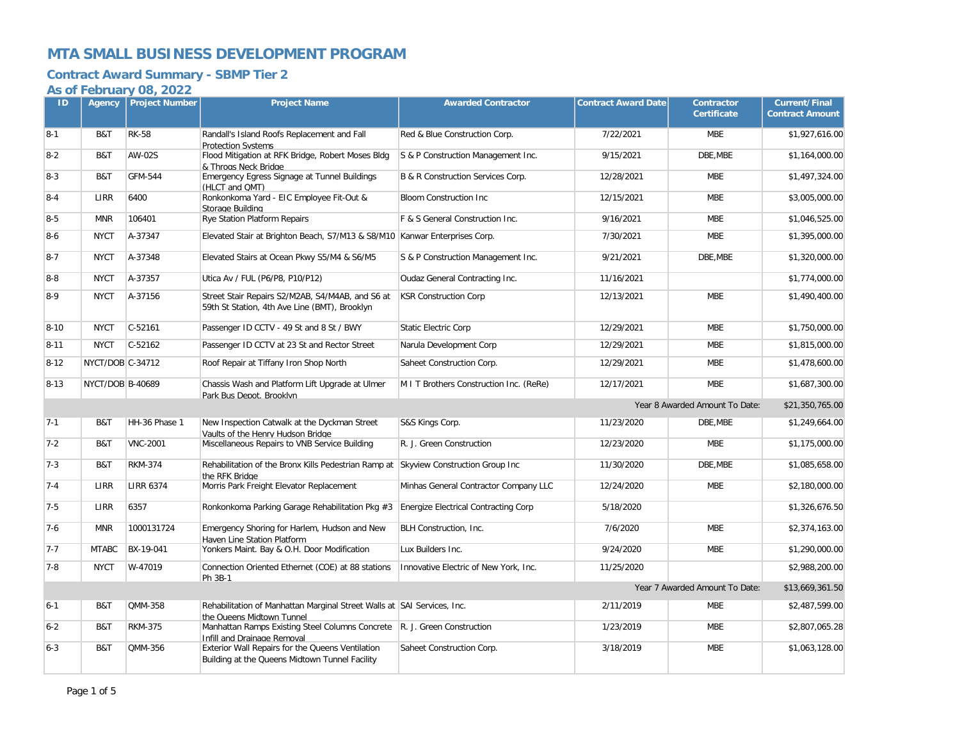## **Contract Award Summary - SBMP Tier 2**

| ID       | Agency           | <b>Project Number</b> | <b>Project Name</b>                                                                                       | <b>Awarded Contractor</b>               | <b>Contract Award Date</b> | <b>Contractor</b><br><b>Certificate</b> | <b>Current/Final</b><br><b>Contract Amount</b> |
|----------|------------------|-----------------------|-----------------------------------------------------------------------------------------------------------|-----------------------------------------|----------------------------|-----------------------------------------|------------------------------------------------|
| $8-1$    | B&T              | <b>RK-58</b>          | Randall's Island Roofs Replacement and Fall<br><b>Protection Systems</b>                                  | Red & Blue Construction Corp.           | 7/22/2021                  | <b>MBE</b>                              | \$1,927,616.00                                 |
| $8 - 2$  | B&T              | AW-02S                | Flood Mitigation at RFK Bridge, Robert Moses Bldg<br>& Throas Neck Bridge                                 | S & P Construction Management Inc.      | 9/15/2021                  | DBE, MBE                                | \$1,164,000.00                                 |
| $8 - 3$  | B&T              | <b>GFM-544</b>        | Emergency Egress Signage at Tunnel Buildings<br>(HLCT and QMT)                                            | B & R Construction Services Corp.       | 12/28/2021                 | <b>MBE</b>                              | \$1,497,324.00                                 |
| $8 - 4$  | LIRR             | 6400                  | Ronkonkoma Yard - EIC Employee Fit-Out &<br>Storage Building                                              | <b>Bloom Construction Inc</b>           | 12/15/2021                 | <b>MBE</b>                              | \$3,005,000.00                                 |
| $8-5$    | <b>MNR</b>       | 106401                | Rye Station Platform Repairs                                                                              | F & S General Construction Inc.         | 9/16/2021                  | <b>MBE</b>                              | \$1,046,525.00                                 |
| $8 - 6$  | <b>NYCT</b>      | A-37347               | Elevated Stair at Brighton Beach, S7/M13 & S8/M10 Kanwar Enterprises Corp.                                |                                         | 7/30/2021                  | <b>MBE</b>                              | \$1,395,000.00                                 |
| $8 - 7$  | <b>NYCT</b>      | A-37348               | Elevated Stairs at Ocean Pkwy S5/M4 & S6/M5                                                               | S & P Construction Management Inc.      | 9/21/2021                  | DBE, MBE                                | \$1,320,000.00                                 |
| $8 - 8$  | <b>NYCT</b>      | A-37357               | Utica Av / FUL (P6/P8, P10/P12)                                                                           | Oudaz General Contracting Inc.          | 11/16/2021                 |                                         | \$1,774,000.00                                 |
| $8 - 9$  | <b>NYCT</b>      | A-37156               | Street Stair Repairs S2/M2AB, S4/M4AB, and S6 at<br>59th St Station, 4th Ave Line (BMT), Brooklyn         | <b>KSR Construction Corp</b>            | 12/13/2021                 | <b>MBE</b>                              | \$1,490,400.00                                 |
| $8 - 10$ | <b>NYCT</b>      | $C-52161$             | Passenger ID CCTV - 49 St and 8 St / BWY                                                                  | <b>Static Electric Corp</b>             | 12/29/2021                 | <b>MBE</b>                              | \$1,750,000.00                                 |
| $8 - 11$ | <b>NYCT</b>      | $C-52162$             | Passenger ID CCTV at 23 St and Rector Street                                                              | Narula Development Corp                 | 12/29/2021                 | <b>MBE</b>                              | \$1,815,000.00                                 |
| $8 - 12$ | NYCT/DOB C-34712 |                       | Roof Repair at Tiffany Iron Shop North                                                                    | Saheet Construction Corp.               | 12/29/2021                 | <b>MBE</b>                              | \$1,478,600.00                                 |
| $8 - 13$ | NYCT/DOB B-40689 |                       | Chassis Wash and Platform Lift Upgrade at Ulmer<br>Park Bus Depot, Brooklyn                               | M I T Brothers Construction Inc. (ReRe) | 12/17/2021                 | <b>MBE</b>                              | \$1,687,300.00                                 |
|          |                  |                       |                                                                                                           |                                         |                            | Year 8 Awarded Amount To Date:          | \$21,350,765.00                                |
| $7 - 1$  | B&T              | HH-36 Phase 1         | New Inspection Catwalk at the Dyckman Street<br>Vaults of the Henry Hudson Bridge                         | S&S Kings Corp.                         | 11/23/2020                 | DBE, MBE                                | \$1,249,664.00                                 |
| $7 - 2$  | B&T              | <b>VNC-2001</b>       | Miscellaneous Repairs to VNB Service Building                                                             | R. J. Green Construction                | 12/23/2020                 | <b>MBE</b>                              | \$1,175,000.00                                 |
| $7 - 3$  | B&T              | <b>RKM-374</b>        | Rehabilitation of the Bronx Kills Pedestrian Ramp at<br>the RFK Bridae                                    | Skyview Construction Group Inc          | 11/30/2020                 | DBE, MBE                                | \$1,085,658.00                                 |
| $7 - 4$  | LIRR             | <b>LIRR 6374</b>      | Morris Park Freight Elevator Replacement                                                                  | Minhas General Contractor Company LLC   | 12/24/2020                 | <b>MBE</b>                              | \$2,180,000.00                                 |
| $7 - 5$  | LIRR             | 6357                  | Ronkonkoma Parking Garage Rehabilitation Pkg #3                                                           | Energize Electrical Contracting Corp    | 5/18/2020                  |                                         | \$1,326,676.50                                 |
| $7 - 6$  | <b>MNR</b>       | 1000131724            | Emergency Shoring for Harlem, Hudson and New<br>Haven Line Station Platform                               | BLH Construction, Inc.                  | 7/6/2020                   | <b>MBE</b>                              | \$2,374,163.00                                 |
| $7 - 7$  | <b>MTABC</b>     | BX-19-041             | Yonkers Maint. Bay & O.H. Door Modification                                                               | Lux Builders Inc.                       | 9/24/2020                  | <b>MBE</b>                              | \$1,290,000.00                                 |
| $7 - 8$  | <b>NYCT</b>      | W-47019               | Connection Oriented Ethernet (COE) at 88 stations<br>Ph 3B-1                                              | Innovative Electric of New York, Inc.   | 11/25/2020                 |                                         | \$2,988,200.00                                 |
|          |                  |                       |                                                                                                           |                                         |                            | Year 7 Awarded Amount To Date:          | \$13,669,361.50                                |
| $6 - 1$  | B&T              | QMM-358               | Rehabilitation of Manhattan Marginal Street Walls at SAI Services, Inc.<br>the Queens Midtown Tunnel      |                                         | 2/11/2019                  | <b>MBE</b>                              | \$2,487,599.00                                 |
| $6 - 2$  | B&T              | <b>RKM-375</b>        | Manhattan Ramps Existing Steel Columns Concrete   R. J. Green Construction<br>Infill and Drainage Removal |                                         | 1/23/2019                  | <b>MBE</b>                              | \$2,807,065.28                                 |
| $6 - 3$  | B&T              | QMM-356               | Exterior Wall Repairs for the Queens Ventilation<br>Building at the Queens Midtown Tunnel Facility        | Saheet Construction Corp.               | 3/18/2019                  | <b>MBE</b>                              | \$1,063,128.00                                 |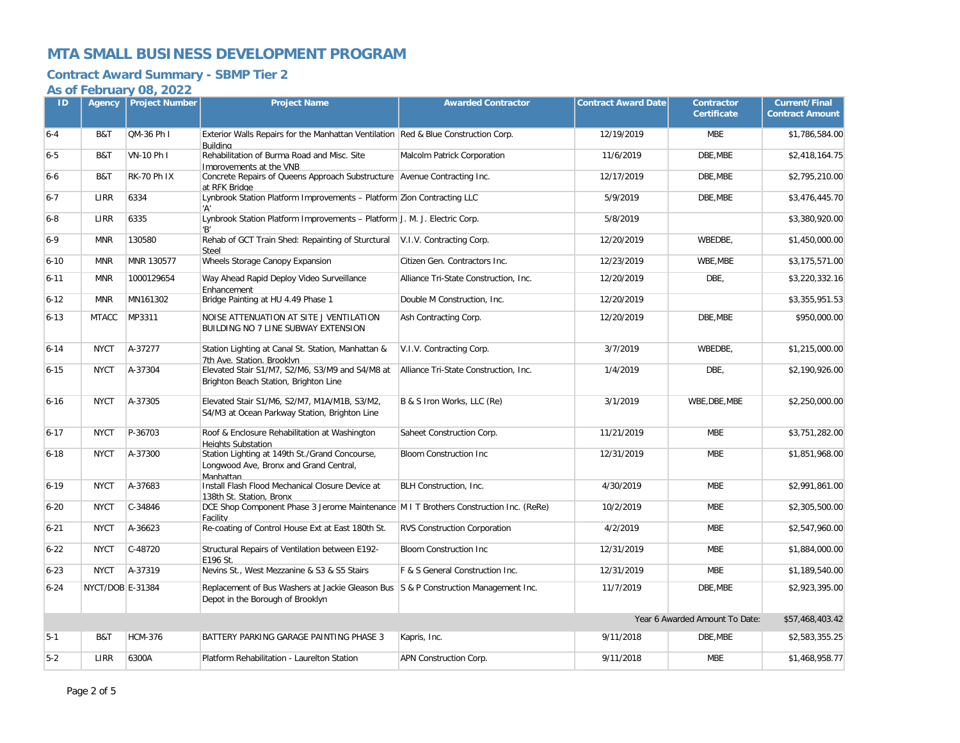## **Contract Award Summary - SBMP Tier 2**

| ID       | Agency           | <b>Project Number</b> | <b>Project Name</b>                                                                                                     | <b>Awarded Contractor</b>             | <b>Contract Award Date</b> | <b>Contractor</b><br><b>Certificate</b> | <b>Current/Final</b><br><b>Contract Amount</b> |
|----------|------------------|-----------------------|-------------------------------------------------------------------------------------------------------------------------|---------------------------------------|----------------------------|-----------------------------------------|------------------------------------------------|
| $6 - 4$  | B&T              | QM-36 Ph I            | Exterior Walls Repairs for the Manhattan Ventilation Red & Blue Construction Corp.<br>Buildina                          |                                       | 12/19/2019                 | <b>MBE</b>                              | \$1,786,584.00                                 |
| $6 - 5$  | B&T              | VN-10 Ph I            | Rehabilitation of Burma Road and Misc. Site<br>Improvements at the VNB                                                  | Malcolm Patrick Corporation           | 11/6/2019                  | DBE.MBE                                 | \$2,418,164.75                                 |
| $6-6$    | B&T              | <b>RK-70 Ph IX</b>    | Concrete Repairs of Queens Approach Substructure Avenue Contracting Inc.<br>at RFK Bridge                               |                                       | 12/17/2019                 | DBE, MBE                                | \$2,795,210.00                                 |
| $6 - 7$  | LIRR             | 6334                  | Lynbrook Station Platform Improvements - Platform Zion Contracting LLC<br>'A'                                           |                                       | 5/9/2019                   | DBE, MBE                                | \$3,476,445.70                                 |
| $6 - 8$  | LIRR             | 6335                  | Lynbrook Station Platform Improvements - Platform J. M. J. Electric Corp.<br>'B'                                        |                                       | 5/8/2019                   |                                         | \$3,380,920.00                                 |
| $6 - 9$  | <b>MNR</b>       | 130580                | Rehab of GCT Train Shed: Repainting of Sturctural<br>Steel                                                              | V.I.V. Contracting Corp.              | 12/20/2019                 | WBEDBE,                                 | \$1,450,000.00                                 |
| $6 - 10$ | <b>MNR</b>       | MNR 130577            | Wheels Storage Canopy Expansion                                                                                         | Citizen Gen. Contractors Inc.         | 12/23/2019                 | WBE.MBE                                 | \$3,175,571.00                                 |
| $6 - 11$ | <b>MNR</b>       | 1000129654            | Way Ahead Rapid Deploy Video Surveillance<br>Enhancement                                                                | Alliance Tri-State Construction, Inc. | 12/20/2019                 | DBE,                                    | \$3,220,332.16                                 |
| $6 - 12$ | <b>MNR</b>       | MN161302              | Bridge Painting at HU 4.49 Phase 1                                                                                      | Double M Construction, Inc.           | 12/20/2019                 |                                         | \$3,355,951.53                                 |
| $6 - 13$ | <b>MTACC</b>     | MP3311                | NOISE ATTENUATION AT SITE J VENTILATION<br>BUILDING NO 7 LINE SUBWAY EXTENSION                                          | Ash Contracting Corp.                 | 12/20/2019                 | DBE, MBE                                | \$950,000.00                                   |
| $6 - 14$ | <b>NYCT</b>      | A-37277               | Station Lighting at Canal St. Station, Manhattan &<br>7th Ave. Station, Brooklyn                                        | V.I.V. Contracting Corp.              | 3/7/2019                   | WBEDBE.                                 | \$1,215,000.00                                 |
| $6 - 15$ | <b>NYCT</b>      | A-37304               | Elevated Stair S1/M7, S2/M6, S3/M9 and S4/M8 at<br>Brighton Beach Station, Brighton Line                                | Alliance Tri-State Construction, Inc. | 1/4/2019                   | DBE,                                    | \$2,190,926.00                                 |
| $6 - 16$ | <b>NYCT</b>      | A-37305               | Elevated Stair S1/M6, S2/M7, M1A/M1B, S3/M2,<br>S4/M3 at Ocean Parkway Station, Brighton Line                           | B & S Iron Works, LLC (Re)            | 3/1/2019                   | WBE, DBE, MBE                           | \$2,250,000.00                                 |
| $6 - 17$ | <b>NYCT</b>      | P-36703               | Roof & Enclosure Rehabilitation at Washington<br><b>Heights Substation</b>                                              | Saheet Construction Corp.             | 11/21/2019                 | <b>MBE</b>                              | \$3,751,282.00                                 |
| $6 - 18$ | <b>NYCT</b>      | A-37300               | Station Lighting at 149th St./Grand Concourse,<br>Longwood Ave, Bronx and Grand Central,<br>Manhattan                   | <b>Bloom Construction Inc.</b>        | 12/31/2019                 | <b>MBE</b>                              | \$1,851,968.00                                 |
| $6 - 19$ | <b>NYCT</b>      | A-37683               | Install Flash Flood Mechanical Closure Device at<br>138th St. Station, Bronx                                            | BLH Construction, Inc.                | 4/30/2019                  | <b>MBE</b>                              | \$2,991,861.00                                 |
| $6 - 20$ | <b>NYCT</b>      | C-34846               | DCE Shop Component Phase 3 Jerome Maintenance M I T Brothers Construction Inc. (ReRe)<br>Facility                       |                                       | 10/2/2019                  | <b>MBE</b>                              | \$2,305,500.00                                 |
| $6 - 21$ | <b>NYCT</b>      | A-36623               | Re-coating of Control House Ext at East 180th St.                                                                       | <b>RVS Construction Corporation</b>   | 4/2/2019                   | <b>MBE</b>                              | \$2,547,960.00                                 |
| $6 - 22$ | <b>NYCT</b>      | C-48720               | Structural Repairs of Ventilation between E192-<br>E196 St.                                                             | <b>Bloom Construction Inc.</b>        | 12/31/2019                 | <b>MBE</b>                              | \$1,884,000.00                                 |
| $6 - 23$ | <b>NYCT</b>      | A-37319               | Nevins St., West Mezzanine & S3 & S5 Stairs                                                                             | F & S General Construction Inc.       | 12/31/2019                 | <b>MBE</b>                              | \$1,189,540.00                                 |
| $6 - 24$ | NYCT/DOB E-31384 |                       | Replacement of Bus Washers at Jackie Gleason Bus S & P Construction Management Inc.<br>Depot in the Borough of Brooklyn |                                       | 11/7/2019                  | DBE, MBE                                | \$2,923,395.00                                 |
|          |                  |                       |                                                                                                                         |                                       |                            | Year 6 Awarded Amount To Date:          | \$57,468,403.42                                |
| $5 - 1$  | B&T              | <b>HCM-376</b>        | BATTERY PARKING GARAGE PAINTING PHASE 3                                                                                 | Kapris, Inc.                          | 9/11/2018                  | DBE, MBE                                | \$2,583,355.25                                 |
| $5-2$    | LIRR             | 6300A                 | Platform Rehabilitation - Laurelton Station                                                                             | APN Construction Corp.                | 9/11/2018                  | <b>MBE</b>                              | \$1,468,958.77                                 |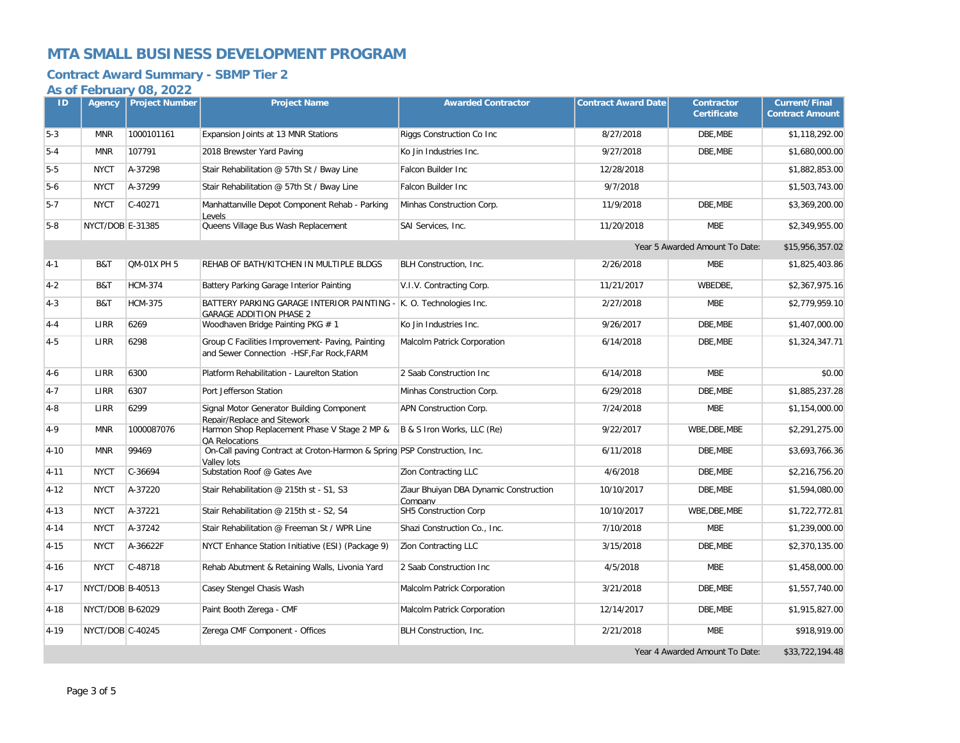## **Contract Award Summary - SBMP Tier 2**

| ID       | Agency           | <b>Project Number</b> | <b>Project Name</b>                                                                           | <b>Awarded Contractor</b>                         | <b>Contract Award Date</b> | <b>Contractor</b><br><b>Certificate</b> | <b>Current/Final</b><br><b>Contract Amount</b> |
|----------|------------------|-----------------------|-----------------------------------------------------------------------------------------------|---------------------------------------------------|----------------------------|-----------------------------------------|------------------------------------------------|
| $5-3$    | <b>MNR</b>       | 1000101161            | Expansion Joints at 13 MNR Stations                                                           | Riggs Construction Co Inc                         | 8/27/2018                  | DBE.MBE                                 | \$1,118,292.00                                 |
| $5 - 4$  | <b>MNR</b>       | 107791                | 2018 Brewster Yard Paving                                                                     | Ko Jin Industries Inc.                            | 9/27/2018                  | DBE, MBE                                | \$1,680,000.00                                 |
| $5-5$    | <b>NYCT</b>      | A-37298               | Stair Rehabilitation @ 57th St / Bway Line                                                    | Falcon Builder Inc                                | 12/28/2018                 |                                         | \$1,882,853.00                                 |
| $5-6$    | <b>NYCT</b>      | A-37299               | Stair Rehabilitation @ 57th St / Bway Line                                                    | Falcon Builder Inc                                | 9/7/2018                   |                                         | \$1,503,743.00                                 |
| $5 - 7$  | <b>NYCT</b>      | $C-40271$             | Manhattanville Depot Component Rehab - Parking<br>Levels                                      | Minhas Construction Corp.                         | 11/9/2018                  | DBE, MBE                                | \$3,369,200.00                                 |
| $5-8$    | NYCT/DOB E-31385 |                       | Queens Village Bus Wash Replacement                                                           | SAI Services, Inc.                                | 11/20/2018                 | <b>MBE</b>                              | \$2,349,955.00                                 |
|          |                  |                       |                                                                                               |                                                   |                            | Year 5 Awarded Amount To Date:          | \$15,956,357.02                                |
| $4-1$    | B&T              | <b>QM-01X PH 5</b>    | REHAB OF BATH/KITCHEN IN MULTIPLE BLDGS                                                       | BLH Construction, Inc.                            | 2/26/2018                  | <b>MBE</b>                              | \$1,825,403.86                                 |
| $4 - 2$  | B&T              | <b>HCM-374</b>        | Battery Parking Garage Interior Painting                                                      | V.I.V. Contracting Corp.                          | 11/21/2017                 | WBEDBE,                                 | \$2,367,975.16                                 |
| $4 - 3$  | B&T              | <b>HCM-375</b>        | BATTERY PARKING GARAGE INTERIOR PAINTING -<br><b>GARAGE ADDITION PHASE 2</b>                  | K. O. Technologies Inc.                           | 2/27/2018                  | <b>MBE</b>                              | \$2,779,959.10                                 |
| $4 - 4$  | LIRR             | 6269                  | Woodhaven Bridge Painting PKG # 1                                                             | Ko Jin Industries Inc.                            | 9/26/2017                  | DBE.MBE                                 | \$1,407,000.00                                 |
| $4 - 5$  | LIRR             | 6298                  | Group C Facilities Improvement- Paving, Painting<br>and Sewer Connection -HSF, Far Rock, FARM | Malcolm Patrick Corporation                       | 6/14/2018                  | DBE.MBE                                 | \$1,324,347.71                                 |
| $4-6$    | LIRR             | 6300                  | Platform Rehabilitation - Laurelton Station                                                   | 2 Saab Construction Inc                           | 6/14/2018                  | <b>MBE</b>                              | \$0.00                                         |
| $4 - 7$  | LIRR             | 6307                  | Port Jefferson Station                                                                        | Minhas Construction Corp.                         | 6/29/2018                  | DBE, MBE                                | \$1,885,237.28                                 |
| $4 - 8$  | LIRR             | 6299                  | Signal Motor Generator Building Component<br>Repair/Replace and Sitework                      | APN Construction Corp.                            | 7/24/2018                  | <b>MBE</b>                              | \$1,154,000.00                                 |
| $4 - 9$  | <b>MNR</b>       | 1000087076            | Harmon Shop Replacement Phase V Stage 2 MP &<br>QA Relocations                                | B & S Iron Works, LLC (Re)                        | 9/22/2017                  | WBE, DBE, MBE                           | \$2,291,275.00                                 |
| $4 - 10$ | <b>MNR</b>       | 99469                 | On-Call paving Contract at Croton-Harmon & Spring PSP Construction, Inc.<br>Vallev lots       |                                                   | 6/11/2018                  | DBE, MBE                                | \$3,693,766.36                                 |
| $4 - 11$ | <b>NYCT</b>      | C-36694               | Substation Roof @ Gates Ave                                                                   | Zion Contracting LLC                              | 4/6/2018                   | DBE, MBE                                | \$2,216,756.20                                 |
| $4 - 12$ | <b>NYCT</b>      | A-37220               | Stair Rehabilitation @ 215th st - S1, S3                                                      | Ziaur Bhuiyan DBA Dynamic Construction<br>Company | 10/10/2017                 | DBE, MBE                                | \$1,594,080.00                                 |
| $4 - 13$ | <b>NYCT</b>      | A-37221               | Stair Rehabilitation @ 215th st - S2, S4                                                      | SH5 Construction Corp                             | 10/10/2017                 | WBE, DBE, MBE                           | \$1,722,772.81                                 |
| $4 - 14$ | <b>NYCT</b>      | A-37242               | Stair Rehabilitation @ Freeman St / WPR Line                                                  | Shazi Construction Co., Inc.                      | 7/10/2018                  | <b>MBE</b>                              | \$1,239,000.00                                 |
| $4 - 15$ | <b>NYCT</b>      | A-36622F              | NYCT Enhance Station Initiative (ESI) (Package 9)                                             | <b>Zion Contracting LLC</b>                       | 3/15/2018                  | DBE, MBE                                | \$2,370,135.00                                 |
| $4 - 16$ | <b>NYCT</b>      | C-48718               | Rehab Abutment & Retaining Walls, Livonia Yard                                                | 2 Saab Construction Inc                           | 4/5/2018                   | <b>MBE</b>                              | \$1,458,000.00                                 |
| $4 - 17$ | NYCT/DOB B-40513 |                       | Casey Stengel Chasis Wash                                                                     | Malcolm Patrick Corporation                       | 3/21/2018                  | DBE, MBE                                | \$1,557,740.00                                 |
| $4 - 18$ | NYCT/DOB B-62029 |                       | Paint Booth Zerega - CMF                                                                      | Malcolm Patrick Corporation                       | 12/14/2017                 | DBE.MBE                                 | \$1,915,827.00                                 |
| $4 - 19$ | NYCT/DOB C-40245 |                       | Zerega CMF Component - Offices                                                                | BLH Construction, Inc.                            | 2/21/2018                  | <b>MBE</b>                              | \$918,919.00                                   |
|          |                  |                       |                                                                                               |                                                   |                            | Year 4 Awarded Amount To Date:          | \$33,722,194.48                                |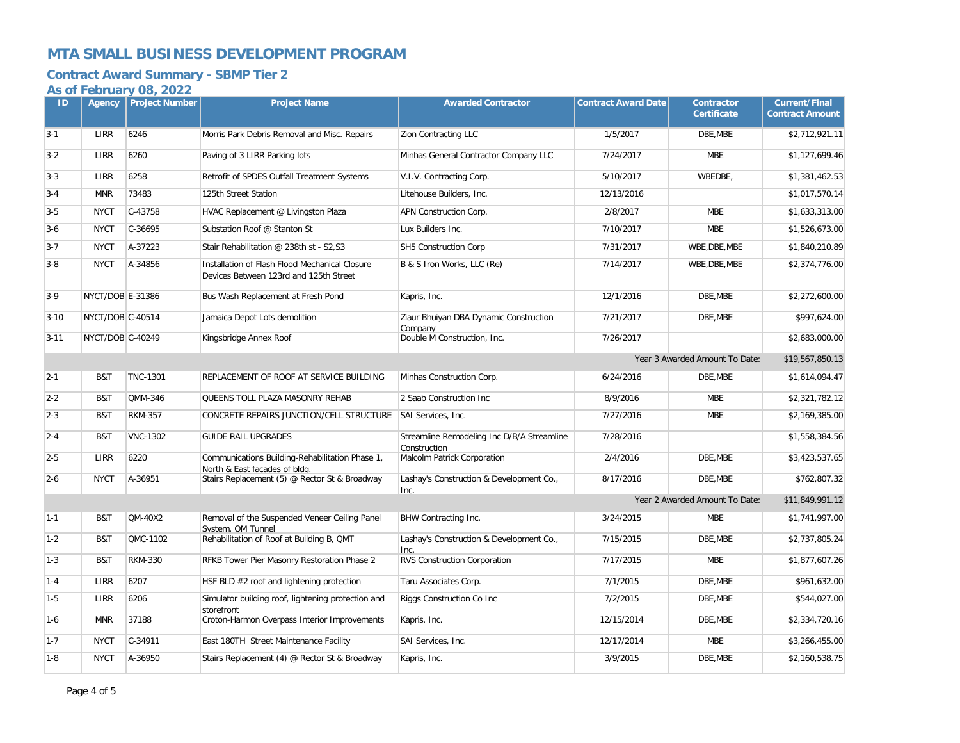## **Contract Award Summary - SBMP Tier 2**

| ID       | Agency           | <b>Project Number</b> | <b>Project Name</b>                                                                      | <b>Awarded Contractor</b>                                  | <b>Contract Award Date</b> | <b>Contractor</b><br><b>Certificate</b> | <b>Current/Final</b><br><b>Contract Amount</b> |
|----------|------------------|-----------------------|------------------------------------------------------------------------------------------|------------------------------------------------------------|----------------------------|-----------------------------------------|------------------------------------------------|
| $3 - 1$  | LIRR             | 6246                  | Morris Park Debris Removal and Misc. Repairs                                             | Zion Contracting LLC                                       | 1/5/2017                   | DBE, MBE                                | \$2,712,921.11                                 |
| $3 - 2$  | LIRR             | 6260                  | Paving of 3 LIRR Parking lots                                                            | Minhas General Contractor Company LLC                      | 7/24/2017                  | <b>MBE</b>                              | \$1,127,699.46                                 |
| $3 - 3$  | LIRR             | 6258                  | Retrofit of SPDES Outfall Treatment Systems                                              | V.I.V. Contracting Corp.                                   | 5/10/2017                  | WBEDBE,                                 | \$1,381,462.53                                 |
| $3 - 4$  | <b>MNR</b>       | 73483                 | 125th Street Station                                                                     | Litehouse Builders, Inc.                                   | 12/13/2016                 |                                         | \$1,017,570.14                                 |
| $3 - 5$  | <b>NYCT</b>      | $C-43758$             | HVAC Replacement @ Livingston Plaza                                                      | APN Construction Corp.                                     | 2/8/2017                   | <b>MBE</b>                              | \$1,633,313.00                                 |
| $3-6$    | <b>NYCT</b>      | $C-36695$             | Substation Roof @ Stanton St                                                             | Lux Builders Inc.                                          | 7/10/2017                  | <b>MBE</b>                              | \$1,526,673.00                                 |
| $3 - 7$  | <b>NYCT</b>      | A-37223               | Stair Rehabilitation @ 238th st - S2,S3                                                  | SH5 Construction Corp                                      | 7/31/2017                  | WBE, DBE, MBE                           | \$1,840,210.89                                 |
| $3-8$    | <b>NYCT</b>      | A-34856               | Installation of Flash Flood Mechanical Closure<br>Devices Between 123rd and 125th Street | B & S Iron Works, LLC (Re)                                 | 7/14/2017                  | WBE, DBE, MBE                           | \$2,374,776.00                                 |
| $3-9$    | NYCT/DOB E-31386 |                       | Bus Wash Replacement at Fresh Pond                                                       | Kapris, Inc.                                               | 12/1/2016                  | DBE, MBE                                | \$2,272,600.00                                 |
| $3 - 10$ | NYCT/DOB C-40514 |                       | Jamaica Depot Lots demolition                                                            | Ziaur Bhuiyan DBA Dynamic Construction<br>Company          | 7/21/2017                  | DBE, MBE                                | \$997,624.00                                   |
| $3 - 11$ | NYCT/DOB C-40249 |                       | Kingsbridge Annex Roof                                                                   | Double M Construction, Inc.                                | 7/26/2017                  |                                         | \$2,683,000.00                                 |
|          |                  |                       |                                                                                          |                                                            |                            | Year 3 Awarded Amount To Date:          | \$19,567,850.13                                |
| $2 - 1$  | B&T              | <b>TNC-1301</b>       | REPLACEMENT OF ROOF AT SERVICE BUILDING                                                  | Minhas Construction Corp.                                  | 6/24/2016                  | DBE, MBE                                | \$1,614,094.47                                 |
| $2 - 2$  | B&T              | QMM-346               | QUEENS TOLL PLAZA MASONRY REHAB                                                          | 2 Saab Construction Inc                                    | 8/9/2016                   | <b>MBE</b>                              | \$2,321,782.12                                 |
| $2 - 3$  | B&T              | <b>RKM-357</b>        | CONCRETE REPAIRS JUNCTION/CELL STRUCTURE                                                 | SAI Services, Inc.                                         | 7/27/2016                  | <b>MBE</b>                              | \$2,169,385.00                                 |
| $2 - 4$  | B&T              | <b>VNC-1302</b>       | <b>GUIDE RAIL UPGRADES</b>                                                               | Streamline Remodeling Inc D/B/A Streamline<br>Construction | 7/28/2016                  |                                         | \$1,558,384.56                                 |
| $2-5$    | LIRR             | 6220                  | Communications Building-Rehabilitation Phase 1,<br>North & East facades of bldg.         | Malcolm Patrick Corporation                                | 2/4/2016                   | DBE, MBE                                | \$3,423,537.65                                 |
| $2 - 6$  | <b>NYCT</b>      | A-36951               | Stairs Replacement (5) @ Rector St & Broadway                                            | Lashay's Construction & Development Co.,<br>Inc.           | 8/17/2016                  | DBE, MBE                                | \$762,807.32                                   |
|          |                  |                       |                                                                                          |                                                            |                            | Year 2 Awarded Amount To Date:          | \$11,849,991.12                                |
| $1 - 1$  | B&T              | <b>QM-40X2</b>        | Removal of the Suspended Veneer Ceiling Panel<br>System. OM Tunnel                       | BHW Contracting Inc.                                       | 3/24/2015                  | <b>MBE</b>                              | \$1,741,997.00                                 |
| $1 - 2$  | B&T              | QMC-1102              | Rehabilitation of Roof at Building B, QMT                                                | Lashay's Construction & Development Co.,                   | 7/15/2015                  | DBE.MBE                                 | \$2,737,805.24                                 |
| $1 - 3$  | B&T              | <b>RKM-330</b>        | RFKB Tower Pier Masonry Restoration Phase 2                                              | RVS Construction Corporation                               | 7/17/2015                  | <b>MBE</b>                              | \$1,877,607.26                                 |
| $1 - 4$  | LIRR             | 6207                  | HSF BLD #2 roof and lightening protection                                                | Taru Associates Corp.                                      | 7/1/2015                   | DBE.MBE                                 | \$961,632.00                                   |
| $1 - 5$  | LIRR             | 6206                  | Simulator building roof, lightening protection and<br>storefront                         | Riggs Construction Co Inc                                  | 7/2/2015                   | DBE, MBE                                | \$544,027.00                                   |
| $1-6$    | <b>MNR</b>       | 37188                 | Croton-Harmon Overpass Interior Improvements                                             | Kapris, Inc.                                               | 12/15/2014                 | DBE, MBE                                | \$2,334,720.16                                 |
| $1 - 7$  | <b>NYCT</b>      | C-34911               | East 180TH Street Maintenance Facility                                                   | SAI Services, Inc.                                         | 12/17/2014                 | <b>MBE</b>                              | \$3,266,455.00                                 |
| $1 - 8$  | <b>NYCT</b>      | A-36950               | Stairs Replacement (4) @ Rector St & Broadway                                            | Kapris, Inc.                                               | 3/9/2015                   | DBE.MBE                                 | \$2,160,538.75                                 |